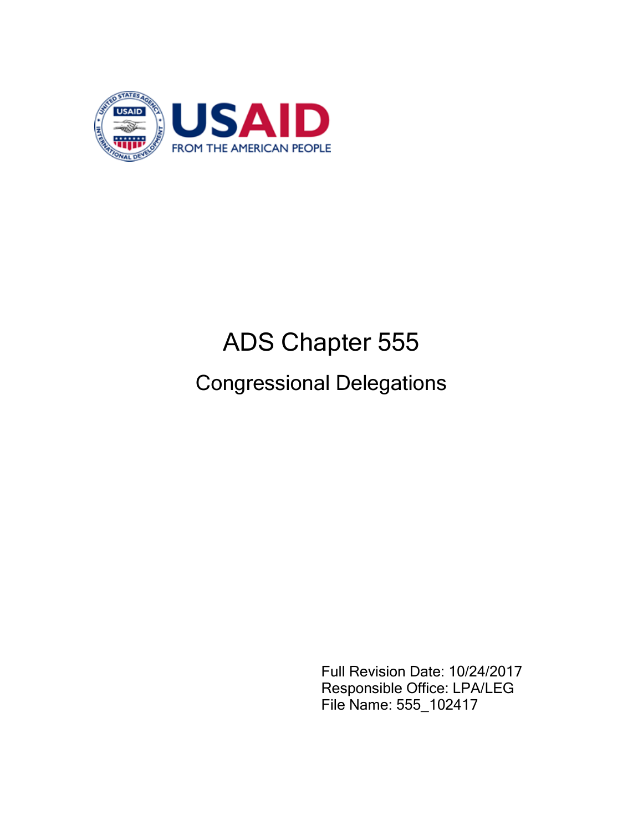

# ADS Chapter 555

## Congressional Delegations

Full Revision Date: 10/24/2017 Responsible Office: LPA/LEG File Name: 555\_102417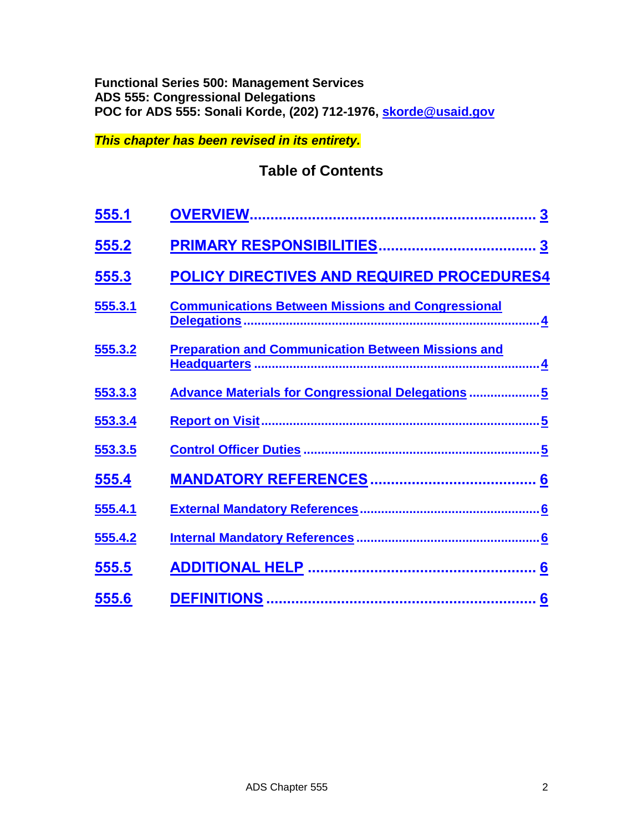#### **Functional Series 500: Management Services ADS 555: Congressional Delegations POC for ADS 555: Sonali Korde, (202) 712-1976, [skorde@usaid.gov](mailto:skorde@usaid.gov)**

*This chapter has been revised in its entirety.*

## **Table of Contents**

| <u>555.1</u> |                                                           |
|--------------|-----------------------------------------------------------|
| 555.2        | $\overline{\mathbf{3}}$                                   |
| <u>555.3</u> | POLICY DIRECTIVES AND REQUIRED PROCEDURES4                |
| 555.3.1      | <b>Communications Between Missions and Congressional</b>  |
| 555.3.2      | <b>Preparation and Communication Between Missions and</b> |
| 553.3.3      | <b>Advance Materials for Congressional Delegations 5</b>  |
| 553.3.4      |                                                           |
| 553.3.5      |                                                           |
| 555.4        |                                                           |
| 555.4.1      |                                                           |
| 555.4.2      |                                                           |
| 555.5        |                                                           |
| 555.6        |                                                           |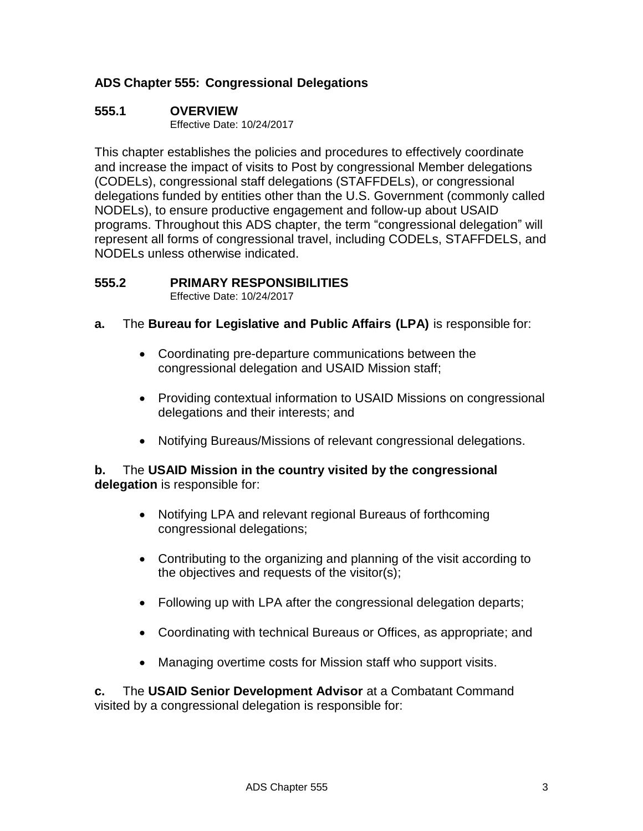#### **ADS Chapter 555: Congressional Delegations**

#### <span id="page-2-0"></span>**555.1 OVERVIEW**

Effective Date: 10/24/2017

This chapter establishes the policies and procedures to effectively coordinate and increase the impact of visits to Post by congressional Member delegations (CODELs), congressional staff delegations (STAFFDELs), or congressional delegations funded by entities other than the U.S. Government (commonly called NODELs), to ensure productive engagement and follow-up about USAID programs. Throughout this ADS chapter, the term "congressional delegation" will represent all forms of congressional travel, including CODELs, STAFFDELS, and NODELs unless otherwise indicated.

#### <span id="page-2-1"></span>**555.2 PRIMARY RESPONSIBILITIES**

Effective Date: 10/24/2017

- **a.** The **Bureau for Legislative and Public Affairs (LPA)** is responsible for:
	- Coordinating pre-departure communications between the congressional delegation and USAID Mission staff;
	- Providing contextual information to USAID Missions on congressional delegations and their interests; and
	- Notifying Bureaus/Missions of relevant congressional delegations.

#### **b.** The **USAID Mission in the country visited by the congressional delegation** is responsible for:

- Notifying LPA and relevant regional Bureaus of forthcoming congressional delegations;
- Contributing to the organizing and planning of the visit according to the objectives and requests of the visitor(s);
- Following up with LPA after the congressional delegation departs;
- Coordinating with technical Bureaus or Offices, as appropriate; and
- Managing overtime costs for Mission staff who support visits.

**c.** The **USAID Senior Development Advisor** at a Combatant Command visited by a congressional delegation is responsible for: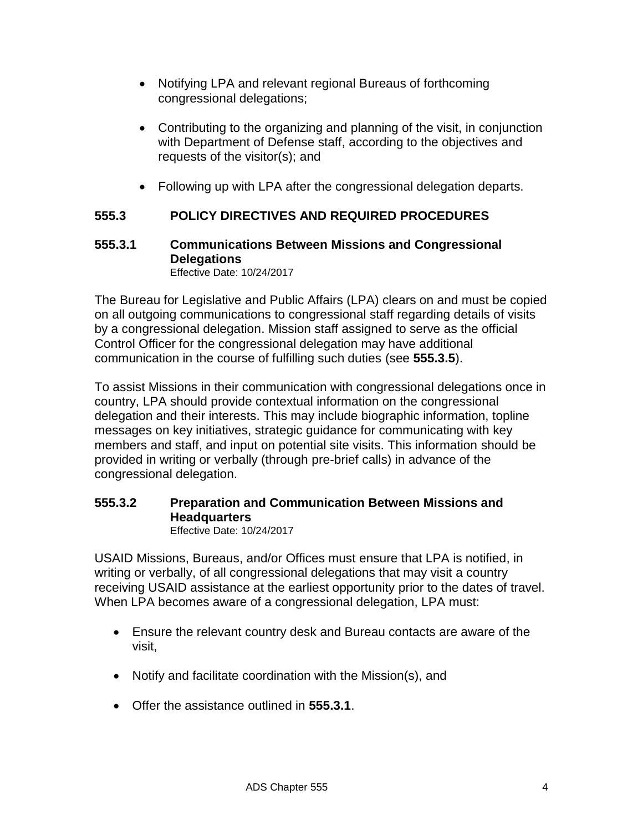- Notifying LPA and relevant regional Bureaus of forthcoming congressional delegations;
- Contributing to the organizing and planning of the visit, in conjunction with Department of Defense staff, according to the objectives and requests of the visitor(s); and
- Following up with LPA after the congressional delegation departs.

#### <span id="page-3-0"></span>**555.3 POLICY DIRECTIVES AND REQUIRED PROCEDURES**

#### <span id="page-3-1"></span>**555.3.1 Communications Between Missions and Congressional Delegations** Effective Date: 10/24/2017

The Bureau for Legislative and Public Affairs (LPA) clears on and must be copied on all outgoing communications to congressional staff regarding details of visits by a congressional delegation. Mission staff assigned to serve as the official Control Officer for the congressional delegation may have additional communication in the course of fulfilling such duties (see **555.3.5**).

To assist Missions in their communication with congressional delegations once in country, LPA should provide contextual information on the congressional delegation and their interests. This may include biographic information, topline messages on key initiatives, strategic guidance for communicating with key members and staff, and input on potential site visits. This information should be provided in writing or verbally (through pre-brief calls) in advance of the congressional delegation.

## <span id="page-3-2"></span>**555.3.2 Preparation and Communication Between Missions and Headquarters**

Effective Date: 10/24/2017

USAID Missions, Bureaus, and/or Offices must ensure that LPA is notified, in writing or verbally, of all congressional delegations that may visit a country receiving USAID assistance at the earliest opportunity prior to the dates of travel. When LPA becomes aware of a congressional delegation, LPA must:

- Ensure the relevant country desk and Bureau contacts are aware of the visit,
- Notify and facilitate coordination with the Mission(s), and
- Offer the assistance outlined in **555.3.1**.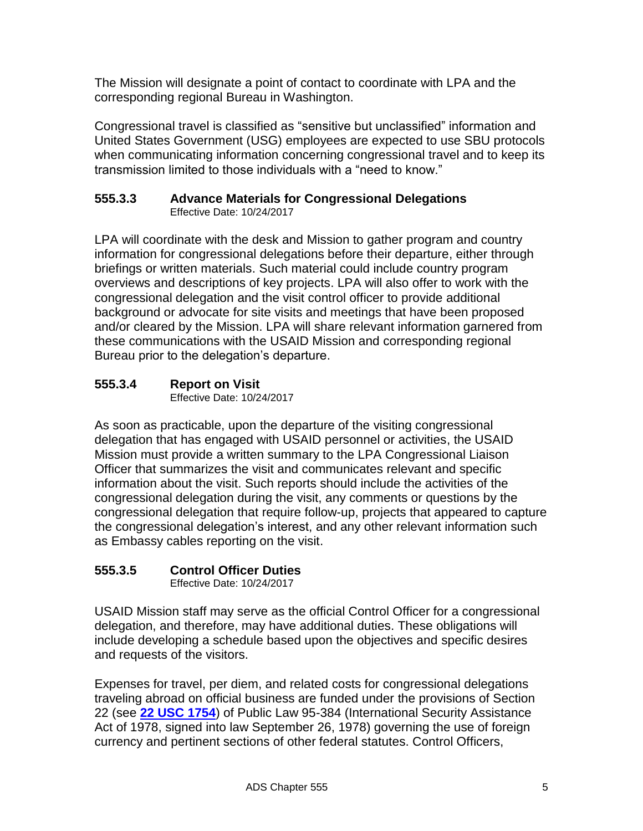The Mission will designate a point of contact to coordinate with LPA and the corresponding regional Bureau in Washington.

Congressional travel is classified as "sensitive but unclassified" information and United States Government (USG) employees are expected to use SBU protocols when communicating information concerning congressional travel and to keep its transmission limited to those individuals with a "need to know."

#### <span id="page-4-0"></span>**555.3.3 Advance Materials for Congressional Delegations**  Effective Date: 10/24/2017

LPA will coordinate with the desk and Mission to gather program and country information for congressional delegations before their departure, either through briefings or written materials. Such material could include country program overviews and descriptions of key projects. LPA will also offer to work with the congressional delegation and the visit control officer to provide additional background or advocate for site visits and meetings that have been proposed and/or cleared by the Mission. LPA will share relevant information garnered from these communications with the USAID Mission and corresponding regional Bureau prior to the delegation's departure.

## <span id="page-4-1"></span>**555.3.4 Report on Visit**

Effective Date: 10/24/2017

As soon as practicable, upon the departure of the visiting congressional delegation that has engaged with USAID personnel or activities, the USAID Mission must provide a written summary to the LPA Congressional Liaison Officer that summarizes the visit and communicates relevant and specific information about the visit. Such reports should include the activities of the congressional delegation during the visit, any comments or questions by the congressional delegation that require follow-up, projects that appeared to capture the congressional delegation's interest, and any other relevant information such as Embassy cables reporting on the visit.

## <span id="page-4-2"></span>**555.3.5 Control Officer Duties**

Effective Date: 10/24/2017

USAID Mission staff may serve as the official Control Officer for a congressional delegation, and therefore, may have additional duties. These obligations will include developing a schedule based upon the objectives and specific desires and requests of the visitors.

Expenses for travel, per diem, and related costs for congressional delegations traveling abroad on official business are funded under the provisions of Section 22 (see **[22 USC](http://uscode.house.gov/view.xhtml?req=(title:22%20section:1754%20edition:prelim)%20OR%20(granuleid:USC-prelim-title22-section1754)&f=treesort&edition=prelim&num=0&jumpTo=true) 1754**) of Public Law 95-384 (International Security Assistance Act of 1978, signed into law September 26, 1978) governing the use of foreign currency and pertinent sections of other federal statutes. Control Officers,